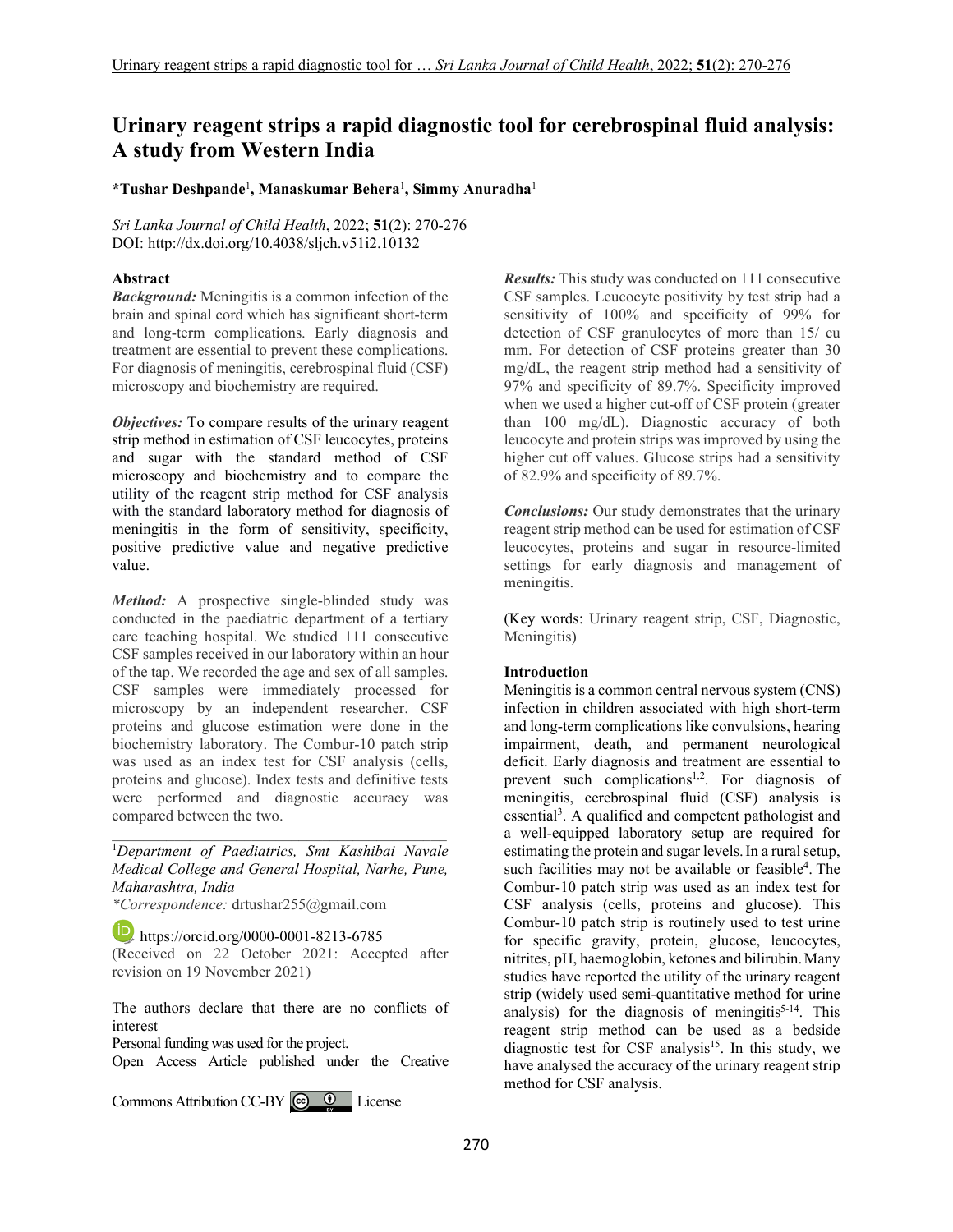# **Urinary reagent strips a rapid diagnostic tool for cerebrospinal fluid analysis: A study from Western India**

**\*Tushar Deshpande**<sup>1</sup> **, Manaskumar Behera**<sup>1</sup> **, Simmy Anuradha**<sup>1</sup>

*Sri Lanka Journal of Child Health*, 2022; **51**(2): 270-276 DOI: http://dx.doi.org/10.4038/sljch.v51i2.10132

# **Abstract**

*Background:* Meningitis is a common infection of the brain and spinal cord which has significant short-term and long-term complications. Early diagnosis and treatment are essential to prevent these complications. For diagnosis of meningitis, cerebrospinal fluid (CSF) microscopy and biochemistry are required.

*Objectives:* To compare results of the urinary reagent strip method in estimation of CSF leucocytes, proteins and sugar with the standard method of CSF microscopy and biochemistry and to compare the utility of the reagent strip method for CSF analysis with the standard laboratory method for diagnosis of meningitis in the form of sensitivity, specificity, positive predictive value and negative predictive value.

*Method:* A prospective single-blinded study was conducted in the paediatric department of a tertiary care teaching hospital. We studied 111 consecutive CSF samples received in our laboratory within an hour of the tap. We recorded the age and sex of all samples. CSF samples were immediately processed for microscopy by an independent researcher. CSF proteins and glucose estimation were done in the biochemistry laboratory. The Combur-10 patch strip was used as an index test for CSF analysis (cells, proteins and glucose). Index tests and definitive tests were performed and diagnostic accuracy was compared between the two.

\_\_\_\_\_\_\_\_\_\_\_\_\_\_\_\_\_\_\_\_\_\_\_\_\_\_\_\_\_\_\_\_\_\_\_\_\_\_\_\_\_\_\_ <sup>1</sup>*Department of Paediatrics, Smt Kashibai Navale Medical College and General Hospital, Narhe, Pune, Maharashtra, India* 

*\*Correspondence:* drtushar255@gmail.com

**https://orcid.org/0000-0001-8213-6785** (Received on 22 October 2021: Accepted after revision on 19 November 2021)

The authors declare that there are no conflicts of interest

Personal funding was used for the project.

Open Access Article published under the Creative

Commons Attribution CC-BY  $\bigcirc$   $\bigcirc$  U License

*Results:* This study was conducted on 111 consecutive CSF samples. Leucocyte positivity by test strip had a sensitivity of 100% and specificity of 99% for detection of CSF granulocytes of more than 15/ cu mm. For detection of CSF proteins greater than 30 mg/dL, the reagent strip method had a sensitivity of 97% and specificity of 89.7%. Specificity improved when we used a higher cut-off of CSF protein (greater than 100 mg/dL). Diagnostic accuracy of both leucocyte and protein strips was improved by using the higher cut off values. Glucose strips had a sensitivity of 82.9% and specificity of 89.7%.

*Conclusions:* Our study demonstrates that the urinary reagent strip method can be used for estimation of CSF leucocytes, proteins and sugar in resource-limited settings for early diagnosis and management of meningitis.

(Key words: Urinary reagent strip, CSF, Diagnostic, Meningitis)

# **Introduction**

Meningitis is a common central nervous system (CNS) infection in children associated with high short-term and long-term complications like convulsions, hearing impairment, death, and permanent neurological deficit. Early diagnosis and treatment are essential to prevent such complications<sup>1,2</sup>. For diagnosis of meningitis, cerebrospinal fluid (CSF) analysis is essential<sup>3</sup>. A qualified and competent pathologist and a well-equipped laboratory setup are required for estimating the protein and sugar levels.In a rural setup, such facilities may not be available or feasible<sup>4</sup>. The Combur-10 patch strip was used as an index test for CSF analysis (cells, proteins and glucose). This Combur-10 patch strip is routinely used to test urine for specific gravity, protein, glucose, leucocytes, nitrites, pH, haemoglobin, ketones and bilirubin.Many studies have reported the utility of the urinary reagent strip (widely used semi-quantitative method for urine analysis) for the diagnosis of meningitis $5-14$ . This reagent strip method can be used as a bedside diagnostic test for CSF analysis<sup>15</sup>. In this study, we have analysed the accuracy of the urinary reagent strip method for CSF analysis.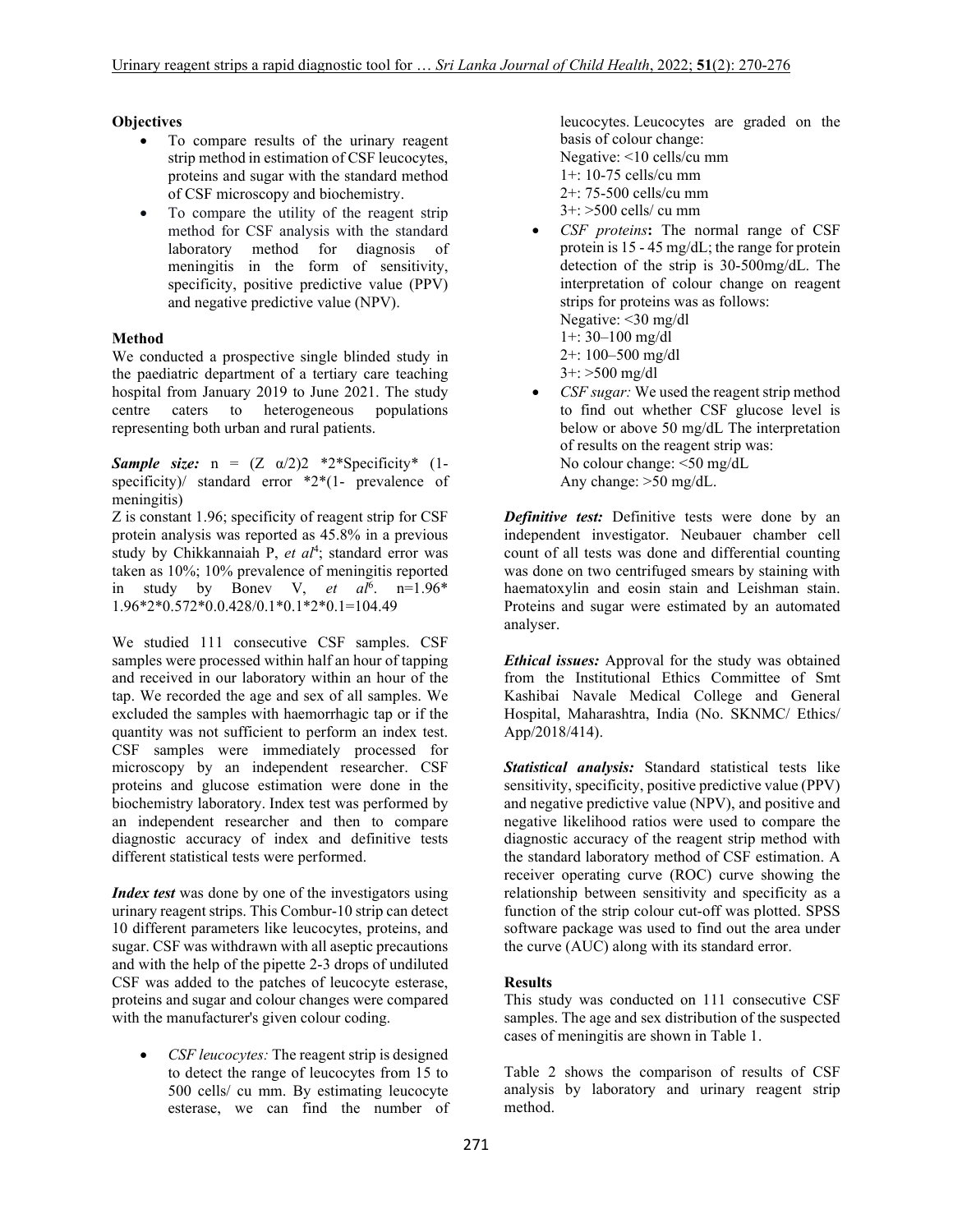# **Objectives**

- To compare results of the urinary reagent strip method in estimation of CSF leucocytes, proteins and sugar with the standard method of CSF microscopy and biochemistry.
- To compare the utility of the reagent strip method for CSF analysis with the standard laboratory method for diagnosis of meningitis in the form of sensitivity, specificity, positive predictive value (PPV) and negative predictive value (NPV).

# **Method**

We conducted a prospective single blinded study in the paediatric department of a tertiary care teaching hospital from January 2019 to June 2021. The study centre caters to heterogeneous populations representing both urban and rural patients.

*Sample size:*  $n = (Z \alpha/2)2 *2*Specificity* (1$ specificity)/ standard error  $*2*(1-$  prevalence of meningitis)

Z is constant 1.96; specificity of reagent strip for CSF protein analysis was reported as 45.8% in a previous study by Chikkannaiah P, et al<sup>4</sup>; standard error was taken as 10%; 10% prevalence of meningitis reported in study by Bonev V, *et al*<sup>6</sup> . n=1.96\* 1.96\*2\*0.572\*0.0.428/0.1\*0.1\*2\*0.1=104.49

We studied 111 consecutive CSF samples. CSF samples were processed within half an hour of tapping and received in our laboratory within an hour of the tap. We recorded the age and sex of all samples. We excluded the samples with haemorrhagic tap or if the quantity was not sufficient to perform an index test. CSF samples were immediately processed for microscopy by an independent researcher. CSF proteins and glucose estimation were done in the biochemistry laboratory. Index test was performed by an independent researcher and then to compare diagnostic accuracy of index and definitive tests different statistical tests were performed.

*Index test* was done by one of the investigators using urinary reagent strips. This Combur-10 strip can detect 10 different parameters like leucocytes, proteins, and sugar. CSF was withdrawn with all aseptic precautions and with the help of the pipette 2-3 drops of undiluted CSF was added to the patches of leucocyte esterase, proteins and sugar and colour changes were compared with the manufacturer's given colour coding.

 *CSF leucocytes:* The reagent strip is designed to detect the range of leucocytes from 15 to 500 cells/ cu mm. By estimating leucocyte esterase, we can find the number of leucocytes. Leucocytes are graded on the basis of colour change: Negative: <10 cells/cu mm 1+: 10-75 cells/cu mm 2+: 75-500 cells/cu mm 3+: >500 cells/ cu mm

- *CSF proteins***:** The normal range of CSF protein is 15 - 45 mg/dL; the range for protein detection of the strip is 30-500mg/dL. The interpretation of colour change on reagent strips for proteins was as follows: Negative: <30 mg/dl 1+: 30–100 mg/dl 2+: 100–500 mg/dl 3+: >500 mg/dl
- *CSF sugar:* We used the reagent strip method to find out whether CSF glucose level is below or above 50 mg/dL The interpretation of results on the reagent strip was: No colour change: <50 mg/dL Any change: >50 mg/dL.

*Definitive test:* Definitive tests were done by an independent investigator. Neubauer chamber cell count of all tests was done and differential counting was done on two centrifuged smears by staining with haematoxylin and eosin stain and Leishman stain. Proteins and sugar were estimated by an automated analyser.

*Ethical issues:* Approval for the study was obtained from the Institutional Ethics Committee of Smt Kashibai Navale Medical College and General Hospital, Maharashtra, India (No. SKNMC/ Ethics/ App/2018/414).

*Statistical analysis:* Standard statistical tests like sensitivity, specificity, positive predictive value (PPV) and negative predictive value (NPV), and positive and negative likelihood ratios were used to compare the diagnostic accuracy of the reagent strip method with the standard laboratory method of CSF estimation. A receiver operating curve (ROC) curve showing the relationship between sensitivity and specificity as a function of the strip colour cut-off was plotted. SPSS software package was used to find out the area under the curve (AUC) along with its standard error.

# **Results**

This study was conducted on 111 consecutive CSF samples. The age and sex distribution of the suspected cases of meningitis are shown in Table 1.

Table 2 shows the comparison of results of CSF analysis by laboratory and urinary reagent strip method.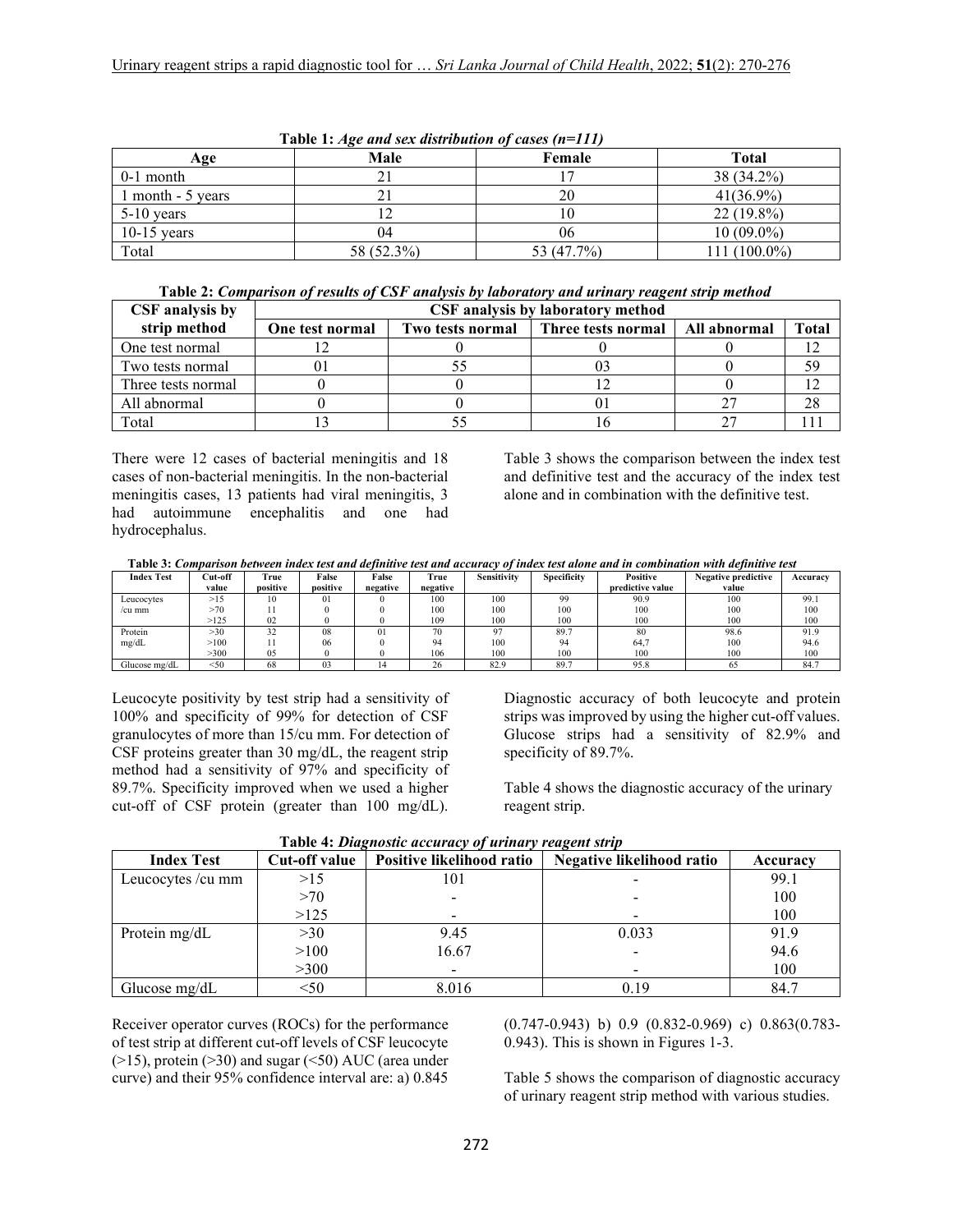| Table 1: Age and sex distribution of cases $(n=111)$ |            |            |              |  |  |  |
|------------------------------------------------------|------------|------------|--------------|--|--|--|
| Age                                                  | Male       | Female     | <b>Total</b> |  |  |  |
| $0-1$ month                                          |            |            | 38 (34.2%)   |  |  |  |
| 1 month - 5 years                                    |            | 20         | $41(36.9\%)$ |  |  |  |
| $5-10$ years                                         |            |            | $22(19.8\%)$ |  |  |  |
| $10-15$ years                                        | 04         | 06         | $10(09.0\%)$ |  |  |  |
| Total                                                | 58 (52.3%) | 53 (47.7%) | 111 (100.0%) |  |  |  |

| Table 2: Comparison of results of CSF analysis by laboratory and urinary reagent strip method |  |  |  |  |
|-----------------------------------------------------------------------------------------------|--|--|--|--|
|-----------------------------------------------------------------------------------------------|--|--|--|--|

| CSF analysis by    | CSF analysis by laboratory method |                  |                    |              |       |  |
|--------------------|-----------------------------------|------------------|--------------------|--------------|-------|--|
| strip method       | One test normal                   | Two tests normal | Three tests normal | All abnormal | Total |  |
| One test normal    |                                   |                  |                    |              |       |  |
| Two tests normal   |                                   |                  |                    |              | 59    |  |
| Three tests normal |                                   |                  |                    |              |       |  |
| All abnormal       |                                   |                  |                    |              | 28    |  |
| Total              |                                   |                  |                    |              |       |  |

There were 12 cases of bacterial meningitis and 18 cases of non-bacterial meningitis. In the non-bacterial meningitis cases, 13 patients had viral meningitis, 3 had autoimmune encephalitis and one had hydrocephalus.

Table 3 shows the comparison between the index test and definitive test and the accuracy of the index test alone and in combination with the definitive test.

 **Table 3:** *Comparison between index test and definitive test and accuracy of index test alone and in combination with definitive test* 

| <b>Index Test</b> | Cut-off | True     | False    | False    | True     | <b>Sensitivity</b> | Specificity | Positive         | <b>Negative predictive</b> | Accuracy |
|-------------------|---------|----------|----------|----------|----------|--------------------|-------------|------------------|----------------------------|----------|
|                   | value   | positive | positive | negative | negative |                    |             | predictive value | value                      |          |
| Leucocytes        | >15     | 10       | $_{01}$  |          | 100      | 100                | 99          | 90.9             | 100                        | 99.1     |
| /cu mm            | >70     |          |          |          | 100      | 100                | 100         | 100              | 100                        | 100      |
|                   | >125    | 02       |          |          | 109      | 100                | 100         | 100              | 100                        | 100      |
| Protein           | >30     | 32       | 08       | 01       | 70       | 07                 | 89.7        | 80               | 98.6                       | 91.9     |
| mg/dL             | >100    |          | 06       |          | 94       | 100                | 94          | 64,7             | 100                        | 94.6     |
|                   | >300    | 05       |          |          | 106      | 100                | 100         | 100              | 100                        | 100      |
| Glucose mg/dL     | $<$ 50  | 68       | 03       |          | 26       | 82.9               | 89.7        | 95.8             | 65                         | 84.7     |

Leucocyte positivity by test strip had a sensitivity of 100% and specificity of 99% for detection of CSF granulocytes of more than 15/cu mm. For detection of CSF proteins greater than 30 mg/dL, the reagent strip method had a sensitivity of 97% and specificity of 89.7%. Specificity improved when we used a higher cut-off of CSF protein (greater than 100 mg/dL).

Diagnostic accuracy of both leucocyte and protein strips was improved by using the higher cut-off values. Glucose strips had a sensitivity of 82.9% and specificity of 89.7%.

Table 4 shows the diagnostic accuracy of the urinary reagent strip.

| <b>Index Test</b> | Cut-off value | $\sim$ which is a surfaced that is the set of $\sim$ for the set of $\sim$ . The set of $\sim$<br>Positive likelihood ratio | Negative likelihood ratio | Accuracy |
|-------------------|---------------|-----------------------------------------------------------------------------------------------------------------------------|---------------------------|----------|
| Leucocytes /cu mm | >15           | 101                                                                                                                         |                           | 99.1     |
|                   | >70           |                                                                                                                             |                           | 100      |
|                   | >125          |                                                                                                                             |                           | 100      |
| Protein mg/dL     | >30           | 9.45                                                                                                                        | 0.033                     | 91.9     |
|                   | >100          | 16.67                                                                                                                       |                           | 94.6     |
|                   | >300          |                                                                                                                             |                           | 100      |
| Glucose mg/dL     | $50$          | 8.016                                                                                                                       | 0.19                      | 84.7     |

 **Table 4:** *Diagnostic accuracy of urinary reagent strip*

Receiver operator curves (ROCs) for the performance of test strip at different cut-off levels of CSF leucocyte (>15), protein (>30) and sugar (<50) AUC (area under curve) and their 95% confidence interval are: a) 0.845

(0.747-0.943) b) 0.9 (0.832-0.969) c) 0.863(0.783- 0.943). This is shown in Figures 1-3.

Table 5 shows the comparison of diagnostic accuracy of urinary reagent strip method with various studies.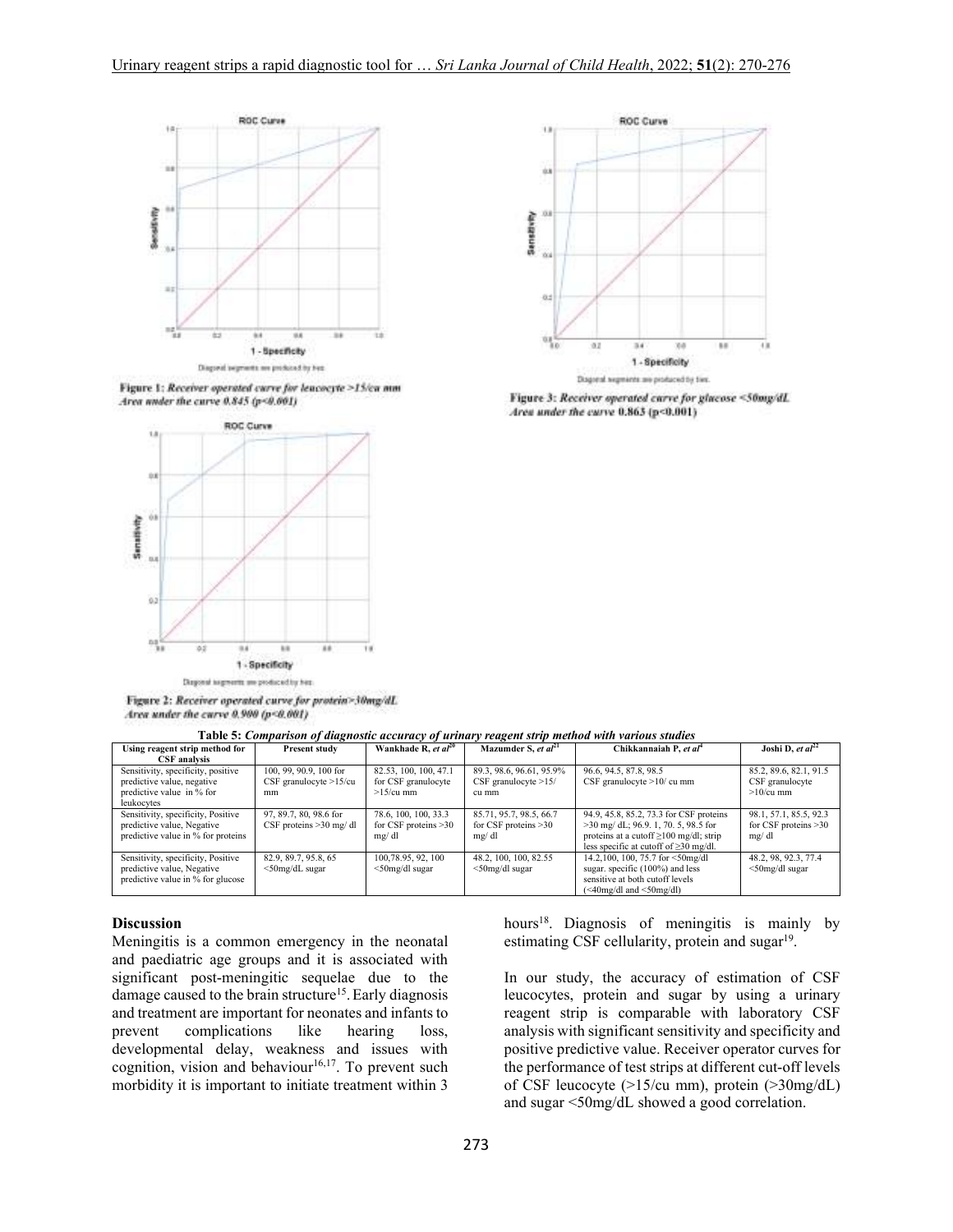

Figure 1: Receiver operated curve for leacocyte >15/ca mm Area under the curve 0.845 (p<0.001)



Figure 2: Receiver operated curve for protein>30mg/dL Area under the curve 0.900 (p<0.001)



Figure 3: Receiver operated curve for glucose <50mg/dL Area under the curve 0.863 (p<0.001)

|--|

| Using reagent strip method for                                                                              | Present study                                             | Wankhade R, et $al^{20}$                                     | Mazumder S, et $al21$                                       | Chikkannaiah P, et al <sup>4</sup>                                                                                                                                               | Joshi D, et $al^{22}$                                    |
|-------------------------------------------------------------------------------------------------------------|-----------------------------------------------------------|--------------------------------------------------------------|-------------------------------------------------------------|----------------------------------------------------------------------------------------------------------------------------------------------------------------------------------|----------------------------------------------------------|
| <b>CSF</b> analysis                                                                                         |                                                           |                                                              |                                                             |                                                                                                                                                                                  |                                                          |
| Sensitivity, specificity, positive<br>predictive value, negative<br>predictive value in % for<br>leukocytes | 100, 99, 90.9, 100 for<br>CSF granulocyte $>15$ /cu<br>mm | 82.53, 100, 100, 47.1<br>for CSF granulocyte<br>$>15$ /cu mm | 89.3, 98.6, 96.61, 95.9%<br>CSF granulocyte $>15/$<br>cu mm | 96.6, 94.5, 87.8, 98.5<br>CSF granulocyte $>10/$ cu mm                                                                                                                           | 85.2, 89.6, 82.1, 91.5<br>CSF granulocyte<br>$>10/cu$ mm |
| Sensitivity, specificity, Positive<br>predictive value, Negative<br>predictive value in % for proteins      | 97, 89.7, 80, 98.6 for<br>CSF proteins $>30$ mg/dl        | 78.6, 100, 100, 33.3<br>for CSF proteins $>30$<br>mg/dl      | 85.71, 95.7, 98.5, 66.7<br>for CSF proteins $>30$<br>mg/dl  | 94.9, 45.8, 85.2, 73.3 for CSF proteins<br>$>30$ mg/ dL; 96.9. 1, 70. 5, 98.5 for<br>proteins at a cutoff $\geq$ 100 mg/dl; strip<br>less specific at cutoff of $\geq$ 30 mg/dl. | 98.1, 57.1, 85.5, 92.3<br>for CSF proteins >30<br>mg/dl  |
| Sensitivity, specificity, Positive<br>predictive value, Negative<br>predictive value in % for glucose       | 82.9, 89.7, 95.8, 65<br>$<$ 50mg/dL sugar                 | 100, 78.95, 92, 100<br>$<$ 50mg/dl sugar                     | 48.2, 100, 100, 82.55<br>$<$ 50mg/dl sugar                  | 14.2,100, 100, 75.7 for $\leq 50$ mg/dl<br>sugar. specific (100%) and less<br>sensitive at both cutoff levels<br>$(\leq 40$ mg/dl and $\leq 50$ mg/dl)                           | 48.2, 98, 92.3, 77.4<br>$<$ 50mg/dl sugar                |

#### **Discussion**

Meningitis is a common emergency in the neonatal and paediatric age groups and it is associated with significant post-meningitic sequelae due to the damage caused to the brain structure<sup>15</sup>. Early diagnosis and treatment are important for neonates and infants to prevent complications like hearing loss, developmental delay, weakness and issues with cognition, vision and behaviour<sup>16,17</sup>. To prevent such morbidity it is important to initiate treatment within 3

hours<sup>18</sup>. Diagnosis of meningitis is mainly by estimating CSF cellularity, protein and sugar<sup>19</sup>.

In our study, the accuracy of estimation of CSF leucocytes, protein and sugar by using a urinary reagent strip is comparable with laboratory CSF analysis with significant sensitivity and specificity and positive predictive value. Receiver operator curves for the performance of test strips at different cut-off levels of CSF leucocyte (>15/cu mm), protein (>30mg/dL) and sugar <50mg/dL showed a good correlation.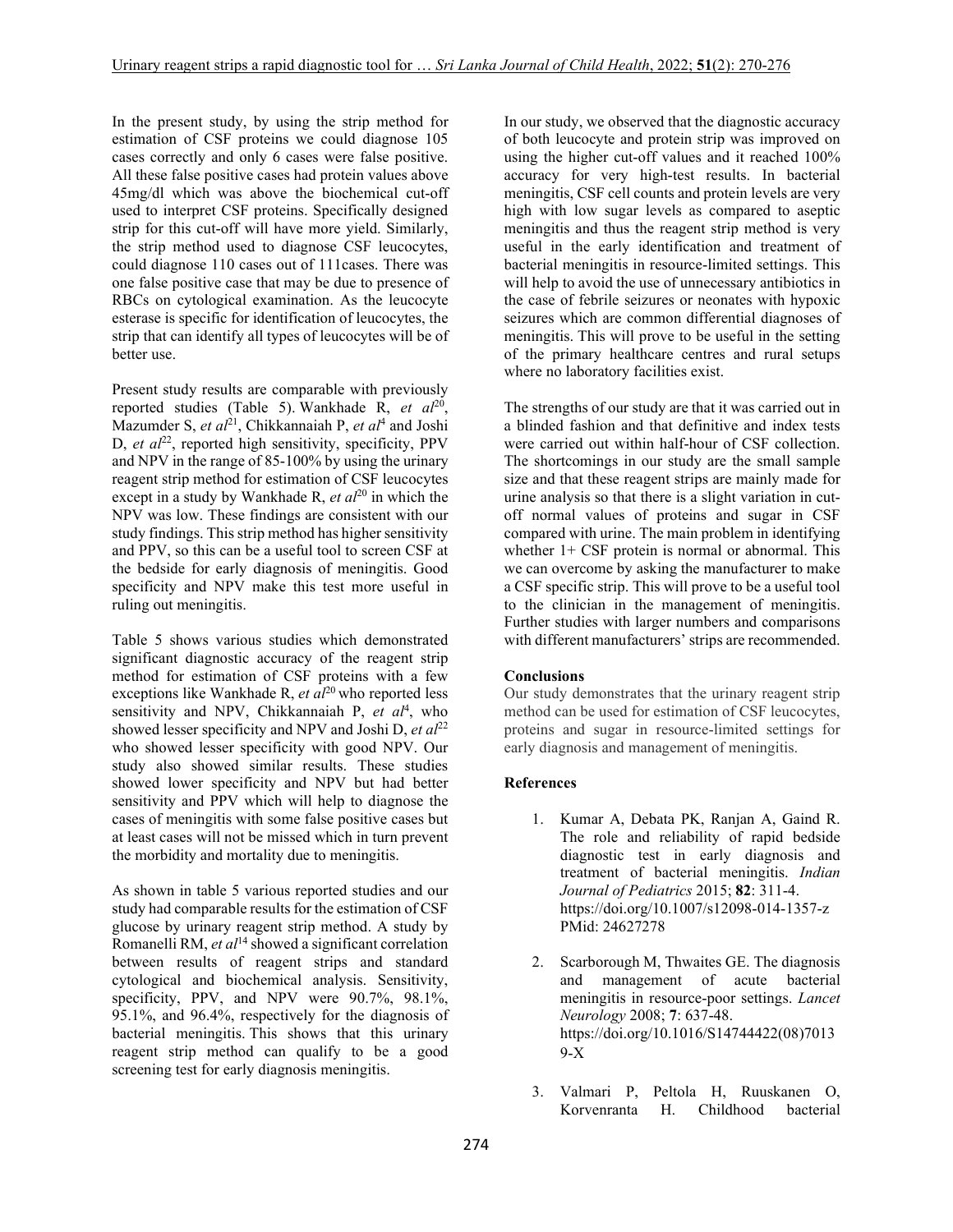In the present study, by using the strip method for estimation of CSF proteins we could diagnose 105 cases correctly and only 6 cases were false positive. All these false positive cases had protein values above 45mg/dl which was above the biochemical cut-off used to interpret CSF proteins. Specifically designed strip for this cut-off will have more yield. Similarly, the strip method used to diagnose CSF leucocytes, could diagnose 110 cases out of 111cases. There was one false positive case that may be due to presence of RBCs on cytological examination. As the leucocyte esterase is specific for identification of leucocytes, the strip that can identify all types of leucocytes will be of better use.

Present study results are comparable with previously reported studies (Table 5). Wankhade R, et al<sup>20</sup>, Mazumder S, *et al*<sup>21</sup>, Chikkannaiah P, *et al*<sup>4</sup> and Joshi D, *et al*<sup>22</sup>, reported high sensitivity, specificity, PPV and NPV in the range of 85-100% by using the urinary reagent strip method for estimation of CSF leucocytes except in a study by Wankhade R, *et al*<sup>20</sup> in which the NPV was low. These findings are consistent with our study findings. This strip method has higher sensitivity and PPV, so this can be a useful tool to screen CSF at the bedside for early diagnosis of meningitis. Good specificity and NPV make this test more useful in ruling out meningitis.

Table 5 shows various studies which demonstrated significant diagnostic accuracy of the reagent strip method for estimation of CSF proteins with a few exceptions like Wankhade R, *et al*<sup>20</sup> who reported less sensitivity and NPV, Chikkannaiah P, et al<sup>4</sup>, who showed lesser specificity and NPV and Joshi D, *et al*<sup>22</sup> who showed lesser specificity with good NPV. Our study also showed similar results. These studies showed lower specificity and NPV but had better sensitivity and PPV which will help to diagnose the cases of meningitis with some false positive cases but at least cases will not be missed which in turn prevent the morbidity and mortality due to meningitis.

As shown in table 5 various reported studies and our study had comparable results for the estimation of CSF glucose by urinary reagent strip method. A study by Romanelli RM, *et al*<sup>14</sup> showed a significant correlation between results of reagent strips and standard cytological and biochemical analysis. Sensitivity, specificity, PPV, and NPV were 90.7%, 98.1%, 95.1%, and 96.4%, respectively for the diagnosis of bacterial meningitis. This shows that this urinary reagent strip method can qualify to be a good screening test for early diagnosis meningitis.

In our study, we observed that the diagnostic accuracy of both leucocyte and protein strip was improved on using the higher cut-off values and it reached 100% accuracy for very high-test results. In bacterial meningitis, CSF cell counts and protein levels are very high with low sugar levels as compared to aseptic meningitis and thus the reagent strip method is very useful in the early identification and treatment of bacterial meningitis in resource-limited settings. This will help to avoid the use of unnecessary antibiotics in the case of febrile seizures or neonates with hypoxic seizures which are common differential diagnoses of meningitis. This will prove to be useful in the setting of the primary healthcare centres and rural setups where no laboratory facilities exist.

The strengths of our study are that it was carried out in a blinded fashion and that definitive and index tests were carried out within half-hour of CSF collection. The shortcomings in our study are the small sample size and that these reagent strips are mainly made for urine analysis so that there is a slight variation in cutoff normal values of proteins and sugar in CSF compared with urine. The main problem in identifying whether 1+ CSF protein is normal or abnormal. This we can overcome by asking the manufacturer to make a CSF specific strip. This will prove to be a useful tool to the clinician in the management of meningitis. Further studies with larger numbers and comparisons with different manufacturers' strips are recommended.

# **Conclusions**

Our study demonstrates that the urinary reagent strip method can be used for estimation of CSF leucocytes, proteins and sugar in resource-limited settings for early diagnosis and management of meningitis.

# **References**

- 1. Kumar A, Debata PK, Ranjan A, Gaind R. The role and reliability of rapid bedside diagnostic test in early diagnosis and treatment of bacterial meningitis. *Indian Journal of Pediatrics* 2015; **82**: 311-4. https://doi.org/10.1007/s12098-014-1357-z PMid: 24627278
- 2. Scarborough M, Thwaites GE. The diagnosis and management of acute bacterial meningitis in resource-poor settings. *Lancet Neurology* 2008; **7**: 637-48. https://doi.org/10.1016/S14744422(08)7013 9-X
- 3. Valmari P, Peltola H, Ruuskanen O, Korvenranta H. Childhood bacterial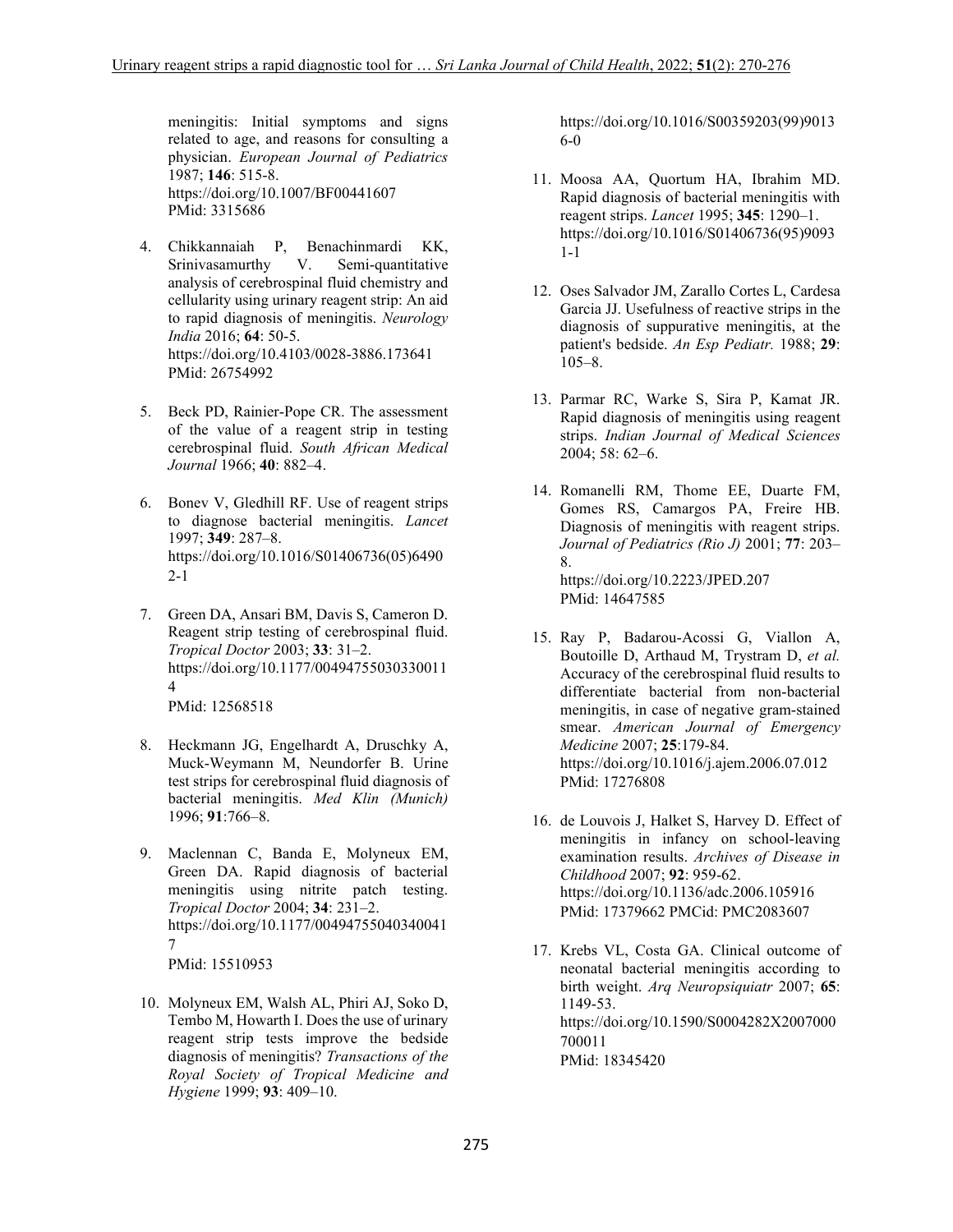meningitis: Initial symptoms and signs related to age, and reasons for consulting a physician. *European Journal of Pediatrics* 1987; **146**: 515-8. https://doi.org/10.1007/BF00441607 PMid: 3315686

- 4. Chikkannaiah P, Benachinmardi KK, Srinivasamurthy V. Semi-quantitative analysis of cerebrospinal fluid chemistry and cellularity using urinary reagent strip: An aid to rapid diagnosis of meningitis. *Neurology India* 2016; **64**: 50-5. https://doi.org/10.4103/0028-3886.173641 PMid: 26754992
- 5. Beck PD, Rainier-Pope CR. The assessment of the value of a reagent strip in testing cerebrospinal fluid. *South African Medical Journal* 1966; **40**: 882–4.
- 6. Bonev V, Gledhill RF. Use of reagent strips to diagnose bacterial meningitis. *Lancet* 1997; **349**: 287–8. https://doi.org/10.1016/S01406736(05)6490 2-1
- 7. Green DA, Ansari BM, Davis S, Cameron D. Reagent strip testing of cerebrospinal fluid. *Tropical Doctor* 2003; **33**: 31–2. https://doi.org/10.1177/00494755030330011 4 PMid: 12568518
- 8. Heckmann JG, Engelhardt A, Druschky A, Muck-Weymann M, Neundorfer B. Urine test strips for cerebrospinal fluid diagnosis of bacterial meningitis. *Med Klin (Munich)* 1996; **91**:766–8.
- 9. Maclennan C, Banda E, Molyneux EM, Green DA. Rapid diagnosis of bacterial meningitis using nitrite patch testing. *Tropical Doctor* 2004; **34**: 231–2. https://doi.org/10.1177/00494755040340041 7 PMid: 15510953
- 10. Molyneux EM, Walsh AL, Phiri AJ, Soko D, Tembo M, Howarth I. Does the use of urinary reagent strip tests improve the bedside diagnosis of meningitis? *Transactions of the Royal Society of Tropical Medicine and Hygiene* 1999; **93**: 409–10.

https://doi.org/10.1016/S00359203(99)9013 6-0

- 11. Moosa AA, Quortum HA, Ibrahim MD. Rapid diagnosis of bacterial meningitis with reagent strips. *Lancet* 1995; **345**: 1290–1. https://doi.org/10.1016/S01406736(95)9093 1-1
- 12. Oses Salvador JM, Zarallo Cortes L, Cardesa Garcia JJ. Usefulness of reactive strips in the diagnosis of suppurative meningitis, at the patient's bedside. *An Esp Pediatr.* 1988; **29**: 105–8.
- 13. Parmar RC, Warke S, Sira P, Kamat JR. Rapid diagnosis of meningitis using reagent strips. *Indian Journal of Medical Sciences*  2004; 58: 62–6.
- 14. Romanelli RM, Thome EE, Duarte FM, Gomes RS, Camargos PA, Freire HB. Diagnosis of meningitis with reagent strips. *Journal of Pediatrics (Rio J)* 2001; **77**: 203– 8. https://doi.org/10.2223/JPED.207 PMid: 14647585
- 15. Ray P, Badarou-Acossi G, Viallon A, Boutoille D, Arthaud M, Trystram D, *et al.* Accuracy of the cerebrospinal fluid results to differentiate bacterial from non-bacterial meningitis, in case of negative gram-stained smear. *American Journal of Emergency Medicine* 2007; **25**:179-84. https://doi.org/10.1016/j.ajem.2006.07.012 PMid: 17276808
- 16. de Louvois J, Halket S, Harvey D. Effect of meningitis in infancy on school-leaving examination results. *Archives of Disease in Childhood* 2007; **92**: 959-62. https://doi.org/10.1136/adc.2006.105916 PMid: 17379662 PMCid: PMC2083607
- 17. Krebs VL, Costa GA. Clinical outcome of neonatal bacterial meningitis according to birth weight. *Arq Neuropsiquiatr* 2007; **65**: 1149-53. https://doi.org/10.1590/S0004282X2007000 700011 PMid: 18345420